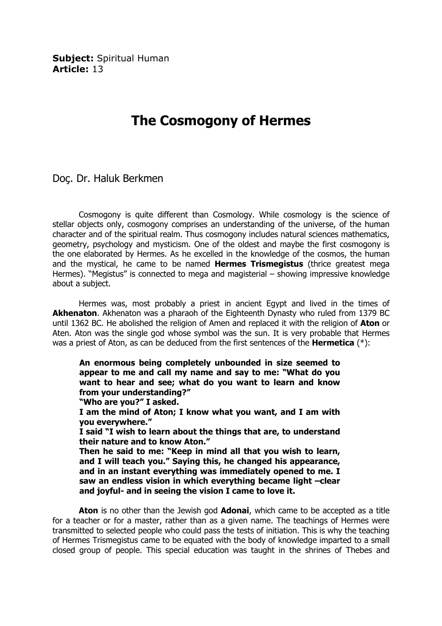**Subject: Spiritual Human** Article: 13

## The Cosmogony of Hermes

Doç. Dr. Haluk Berkmen

 Cosmogony is quite different than Cosmology. While cosmology is the science of stellar objects only, cosmogony comprises an understanding of the universe, of the human character and of the spiritual realm. Thus cosmogony includes natural sciences mathematics, geometry, psychology and mysticism. One of the oldest and maybe the first cosmogony is the one elaborated by Hermes. As he excelled in the knowledge of the cosmos, the human and the mystical, he came to be named **Hermes Trismegistus** (thrice greatest mega Hermes). "Megistus" is connected to mega and magisterial – showing impressive knowledge about a subject.

 Hermes was, most probably a priest in ancient Egypt and lived in the times of Akhenaton. Akhenaton was a pharaoh of the Eighteenth Dynasty who ruled from 1379 BC until 1362 BC. He abolished the religion of Amen and replaced it with the religion of Aton or Aten. Aton was the single god whose symbol was the sun. It is very probable that Hermes was a priest of Aton, as can be deduced from the first sentences of the **Hermetica** (\*):

An enormous being completely unbounded in size seemed to appear to me and call my name and say to me: "What do you want to hear and see; what do you want to learn and know from your understanding?" "Who are you?" I asked.

I am the mind of Aton; I know what you want, and I am with you everywhere."

I said "I wish to learn about the things that are, to understand their nature and to know Aton."

Then he said to me: "Keep in mind all that you wish to learn, and I will teach you." Saying this, he changed his appearance, and in an instant everything was immediately opened to me. I saw an endless vision in which everything became light –clear and joyful- and in seeing the vision I came to love it.

**Aton** is no other than the Jewish god **Adonai**, which came to be accepted as a title for a teacher or for a master, rather than as a given name. The teachings of Hermes were transmitted to selected people who could pass the tests of initiation. This is why the teaching of Hermes Trismegistus came to be equated with the body of knowledge imparted to a small closed group of people. This special education was taught in the shrines of Thebes and